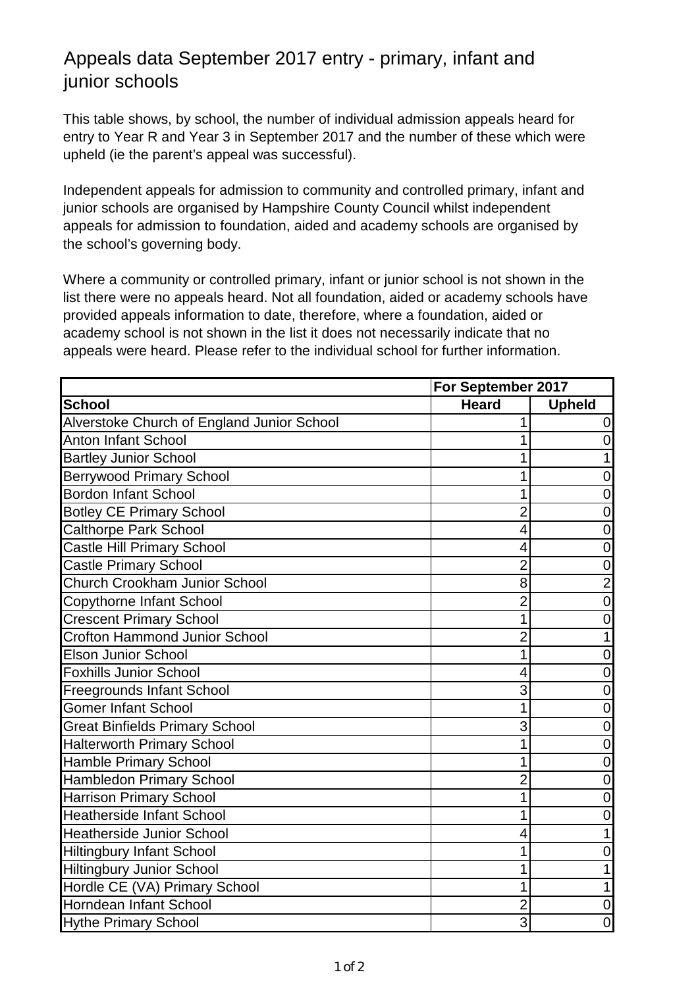## Appeals data September 2017 entry - primary, infant and junior schools

This table shows, by school, the number of individual admission appeals heard for entry to Year R and Year 3 in September 2017 and the number of these which were upheld (ie the parent's appeal was successful).

Independent appeals for admission to community and controlled primary, infant and junior schools are organised by Hampshire County Council whilst independent appeals for admission to foundation, aided and academy schools are organised by the school's governing body.

Where a community or controlled primary, infant or junior school is not shown in the list there were no appeals heard. Not all foundation, aided or academy schools have provided appeals information to date, therefore, where a foundation, aided or academy school is not shown in the list it does not necessarily indicate that no appeals were heard. Please refer to the individual school for further information.

|                                            |                | For September 2017 |  |
|--------------------------------------------|----------------|--------------------|--|
| <b>School</b>                              | <b>Heard</b>   | <b>Upheld</b>      |  |
| Alverstoke Church of England Junior School | 1              | 0                  |  |
| <b>Anton Infant School</b>                 | 1              | $\overline{0}$     |  |
| <b>Bartley Junior School</b>               | 1              | $\mathbf{1}$       |  |
| <b>Berrywood Primary School</b>            |                | 0                  |  |
| <b>Bordon Infant School</b>                | 1              | 0                  |  |
| <b>Botley CE Primary School</b>            | $\overline{2}$ | $\overline{0}$     |  |
| <b>Calthorpe Park School</b>               | 4              | 0                  |  |
| <b>Castle Hill Primary School</b>          | 4              | $\mathbf 0$        |  |
| <b>Castle Primary School</b>               | $\overline{2}$ | $\mathbf 0$        |  |
| Church Crookham Junior School              | 8              | $\overline{2}$     |  |
| <b>Copythorne Infant School</b>            | $\overline{c}$ | $\mathbf 0$        |  |
| <b>Crescent Primary School</b>             | 1              | 0                  |  |
| <b>Crofton Hammond Junior School</b>       | $\overline{2}$ | $\mathbf{1}$       |  |
| <b>Elson Junior School</b>                 | 1              | $\mathbf 0$        |  |
| <b>Foxhills Junior School</b>              | 4              | $\overline{0}$     |  |
| <b>Freegrounds Infant School</b>           | 3              | $\mathbf 0$        |  |
| <b>Gomer Infant School</b>                 | 1              | $\boldsymbol{0}$   |  |
| <b>Great Binfields Primary School</b>      | 3              | $\mathbf 0$        |  |
| <b>Halterworth Primary School</b>          | 1              | $\overline{0}$     |  |
| <b>Hamble Primary School</b>               | 1              | $\mathbf 0$        |  |
| Hambledon Primary School                   | $\overline{2}$ | $\mathbf 0$        |  |
| <b>Harrison Primary School</b>             | 1              | 0                  |  |
| <b>Heatherside Infant School</b>           | 1              | 0                  |  |
| <b>Heatherside Junior School</b>           | 4              | 1                  |  |
| <b>Hiltingbury Infant School</b>           | 1              | 0                  |  |
| <b>Hiltingbury Junior School</b>           | 1              | 1                  |  |
| Hordle CE (VA) Primary School              | 1              | $\mathbf{1}$       |  |
| Horndean Infant School                     | $\overline{2}$ | $\boldsymbol{0}$   |  |
| <b>Hythe Primary School</b>                | 3              | $\mathbf 0$        |  |